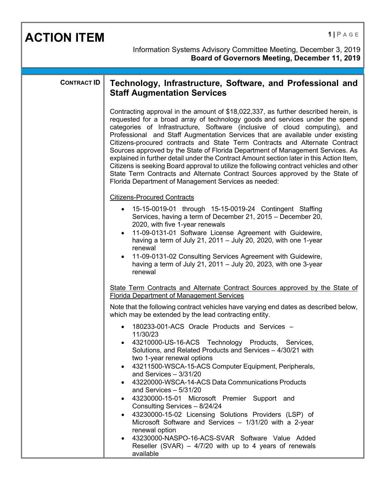| <b>ACTION ITEM</b> | $1$   PAGE<br>Information Systems Advisory Committee Meeting, December 3, 2019<br><b>Board of Governors Meeting, December 11, 2019</b>                                                                                                                                                                                                                                                                                                                                                                                                                                                                                                                                                                                                                                                                                              |
|--------------------|-------------------------------------------------------------------------------------------------------------------------------------------------------------------------------------------------------------------------------------------------------------------------------------------------------------------------------------------------------------------------------------------------------------------------------------------------------------------------------------------------------------------------------------------------------------------------------------------------------------------------------------------------------------------------------------------------------------------------------------------------------------------------------------------------------------------------------------|
|                    |                                                                                                                                                                                                                                                                                                                                                                                                                                                                                                                                                                                                                                                                                                                                                                                                                                     |
| <b>CONTRACT ID</b> | Technology, Infrastructure, Software, and Professional and<br><b>Staff Augmentation Services</b>                                                                                                                                                                                                                                                                                                                                                                                                                                                                                                                                                                                                                                                                                                                                    |
|                    | Contracting approval in the amount of \$18,022,337, as further described herein, is<br>requested for a broad array of technology goods and services under the spend<br>categories of Infrastructure, Software (inclusive of cloud computing), and<br>Professional and Staff Augmentation Services that are available under existing<br>Citizens-procured contracts and State Term Contracts and Alternate Contract<br>Sources approved by the State of Florida Department of Management Services. As<br>explained in further detail under the Contract Amount section later in this Action Item,<br>Citizens is seeking Board approval to utilize the following contract vehicles and other<br>State Term Contracts and Alternate Contract Sources approved by the State of<br>Florida Department of Management Services as needed: |
|                    | <b>Citizens-Procured Contracts</b>                                                                                                                                                                                                                                                                                                                                                                                                                                                                                                                                                                                                                                                                                                                                                                                                  |
|                    | 15-15-0019-01 through 15-15-0019-24 Contingent Staffing<br>Services, having a term of December 21, 2015 – December 20,<br>2020, with five 1-year renewals<br>11-09-0131-01 Software License Agreement with Guidewire,<br>having a term of July 21, 2011 – July 20, 2020, with one 1-year<br>renewal<br>11-09-0131-02 Consulting Services Agreement with Guidewire,<br>having a term of July 21, 2011 $-$ July 20, 2023, with one 3-year<br>renewal                                                                                                                                                                                                                                                                                                                                                                                  |
|                    | State Term Contracts and Alternate Contract Sources approved by the State of<br><b>Florida Department of Management Services</b>                                                                                                                                                                                                                                                                                                                                                                                                                                                                                                                                                                                                                                                                                                    |
|                    | Note that the following contract vehicles have varying end dates as described below,<br>which may be extended by the lead contracting entity.                                                                                                                                                                                                                                                                                                                                                                                                                                                                                                                                                                                                                                                                                       |
|                    | 180233-001-ACS Oracle Products and Services -<br>11/30/23<br>43210000-US-16-ACS Technology Products, Services,<br>Solutions, and Related Products and Services - 4/30/21 with<br>two 1-year renewal options<br>43211500-WSCA-15-ACS Computer Equipment, Peripherals,<br>and Services $-3/31/20$<br>43220000-WSCA-14-ACS Data Communications Products<br>and Services $-5/31/20$<br>43230000-15-01 Microsoft Premier Support and<br>Consulting Services - 8/24/24<br>43230000-15-02 Licensing Solutions Providers (LSP) of<br>Microsoft Software and Services - 1/31/20 with a 2-year<br>renewal option<br>43230000-NASPO-16-ACS-SVAR Software Value Added<br>Reseller (SVAR) $-$ 4/7/20 with up to 4 years of renewals<br>available                                                                                                 |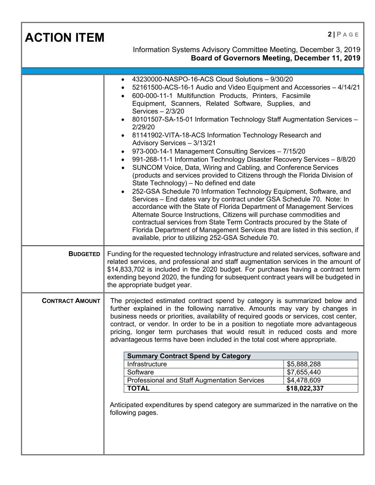| <b>ACTION ITEM</b>     | 2 PAGE<br>Information Systems Advisory Committee Meeting, December 3, 2019<br>Board of Governors Meeting, December 11, 2019                                                                                                                                                                                                                                                                                                                                                                                                                                                                                                                                                                                                                                                                                                                                                                                                                                                                                                                                                                                                                                                                                                                                                                                                                    |
|------------------------|------------------------------------------------------------------------------------------------------------------------------------------------------------------------------------------------------------------------------------------------------------------------------------------------------------------------------------------------------------------------------------------------------------------------------------------------------------------------------------------------------------------------------------------------------------------------------------------------------------------------------------------------------------------------------------------------------------------------------------------------------------------------------------------------------------------------------------------------------------------------------------------------------------------------------------------------------------------------------------------------------------------------------------------------------------------------------------------------------------------------------------------------------------------------------------------------------------------------------------------------------------------------------------------------------------------------------------------------|
|                        | 43230000-NASPO-16-ACS Cloud Solutions - 9/30/20<br>52161500-ACS-16-1 Audio and Video Equipment and Accessories - 4/14/21<br>600-000-11-1 Multifunction Products, Printers, Facsimile<br>Equipment, Scanners, Related Software, Supplies, and<br>Services - 2/3/20<br>80101507-SA-15-01 Information Technology Staff Augmentation Services -<br>2/29/20<br>81141902-VITA-18-ACS Information Technology Research and<br>Advisory Services - 3/13/21<br>973-000-14-1 Management Consulting Services - 7/15/20<br>$\bullet$<br>991-268-11-1 Information Technology Disaster Recovery Services - 8/8/20<br>$\bullet$<br>SUNCOM Voice, Data, Wiring and Cabling, and Conference Services<br>$\bullet$<br>(products and services provided to Citizens through the Florida Division of<br>State Technology) - No defined end date<br>252-GSA Schedule 70 Information Technology Equipment, Software, and<br>Services - End dates vary by contract under GSA Schedule 70. Note: In<br>accordance with the State of Florida Department of Management Services<br>Alternate Source Instructions, Citizens will purchase commodities and<br>contractual services from State Term Contracts procured by the State of<br>Florida Department of Management Services that are listed in this section, if<br>available, prior to utilizing 252-GSA Schedule 70. |
| <b>BUDGETED</b>        | Funding for the requested technology infrastructure and related services, software and<br>related services, and professional and staff augmentation services in the amount of<br>\$14,833,702 is included in the 2020 budget. For purchases having a contract term<br>extending beyond 2020, the funding for subsequent contract years will be budgeted in<br>the appropriate budget year.                                                                                                                                                                                                                                                                                                                                                                                                                                                                                                                                                                                                                                                                                                                                                                                                                                                                                                                                                     |
| <b>CONTRACT AMOUNT</b> | The projected estimated contract spend by category is summarized below and<br>further explained in the following narrative. Amounts may vary by changes in<br>business needs or priorities, availability of required goods or services, cost center,<br>contract, or vendor. In order to be in a position to negotiate more advantageous<br>pricing, longer term purchases that would result in reduced costs and more<br>advantageous terms have been included in the total cost where appropriate.<br><b>Summary Contract Spend by Category</b><br>Infrastructure<br>\$5,888,288<br>Software<br>\$7,655,440<br><b>Professional and Staff Augmentation Services</b><br>\$4,478,609<br><b>TOTAL</b><br>\$18,022,337<br>Anticipated expenditures by spend category are summarized in the narrative on the<br>following pages.                                                                                                                                                                                                                                                                                                                                                                                                                                                                                                                   |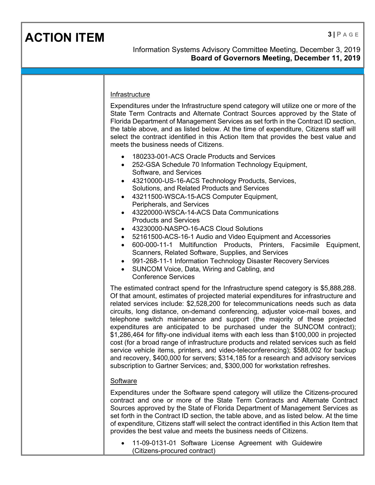# **ACTION ITEM <sup>3</sup> <sup>|</sup> <sup>P</sup> AGE**

## Information Systems Advisory Committee Meeting, December 3, 2019 **Board of Governors Meeting, December 11, 2019**

#### Infrastructure

Expenditures under the Infrastructure spend category will utilize one or more of the State Term Contracts and Alternate Contract Sources approved by the State of Florida Department of Management Services as set forth in the Contract ID section, the table above, and as listed below. At the time of expenditure, Citizens staff will select the contract identified in this Action Item that provides the best value and meets the business needs of Citizens.

- 180233-001-ACS Oracle Products and Services
- 252-GSA Schedule 70 Information Technology Equipment, Software, and Services
- 43210000-US-16-ACS Technology Products, Services, Solutions, and Related Products and Services
- 43211500-WSCA-15-ACS Computer Equipment, Peripherals, and Services
- 43220000-WSCA-14-ACS Data Communications Products and Services
- 43230000-NASPO-16-ACS Cloud Solutions
- 52161500-ACS-16-1 Audio and Video Equipment and Accessories
- 600-000-11-1 Multifunction Products, Printers, Facsimile Equipment, Scanners, Related Software, Supplies, and Services
- 991-268-11-1 Information Technology Disaster Recovery Services
- SUNCOM Voice, Data, Wiring and Cabling, and Conference Services

The estimated contract spend for the Infrastructure spend category is \$5,888,288. Of that amount, estimates of projected material expenditures for infrastructure and related services include: \$2,528,200 for telecommunications needs such as data circuits, long distance, on-demand conferencing, adjuster voice-mail boxes, and telephone switch maintenance and support (the majority of these projected expenditures are anticipated to be purchased under the SUNCOM contract); \$1,286,464 for fifty-one individual items with each less than \$100,000 in projected cost (for a broad range of infrastructure products and related services such as field service vehicle items, printers, and video-teleconferencing); \$588,002 for backup and recovery, \$400,000 for servers; \$314,185 for a research and advisory services subscription to Gartner Services; and, \$300,000 for workstation refreshes.

#### **Software**

Expenditures under the Software spend category will utilize the Citizens-procured contract and one or more of the State Term Contracts and Alternate Contract Sources approved by the State of Florida Department of Management Services as set forth in the Contract ID section, the table above, and as listed below. At the time of expenditure, Citizens staff will select the contract identified in this Action Item that provides the best value and meets the business needs of Citizens.

• 11-09-0131-01 Software License Agreement with Guidewire (Citizens-procured contract)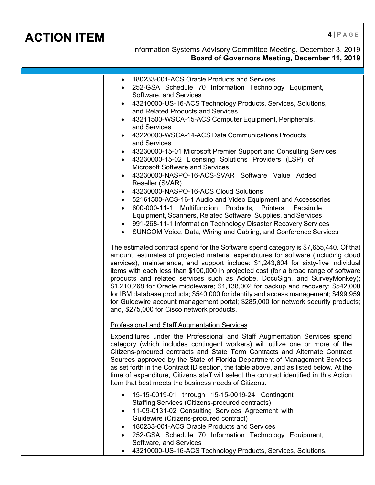| <b>ACTION ITEM</b> | $4$   P A G E<br>Information Systems Advisory Committee Meeting, December 3, 2019<br>Board of Governors Meeting, December 11, 2019                                                                                                                                                                                                                                                                                                                                                                                                                                                                                                                                                                                                                                                                                                                                                                                                                                                                                                                                                                                                                                                                                                                                             |
|--------------------|--------------------------------------------------------------------------------------------------------------------------------------------------------------------------------------------------------------------------------------------------------------------------------------------------------------------------------------------------------------------------------------------------------------------------------------------------------------------------------------------------------------------------------------------------------------------------------------------------------------------------------------------------------------------------------------------------------------------------------------------------------------------------------------------------------------------------------------------------------------------------------------------------------------------------------------------------------------------------------------------------------------------------------------------------------------------------------------------------------------------------------------------------------------------------------------------------------------------------------------------------------------------------------|
|                    | 180233-001-ACS Oracle Products and Services<br>252-GSA Schedule 70 Information Technology Equipment,<br>Software, and Services<br>43210000-US-16-ACS Technology Products, Services, Solutions,<br>and Related Products and Services<br>43211500-WSCA-15-ACS Computer Equipment, Peripherals,<br>and Services<br>43220000-WSCA-14-ACS Data Communications Products<br>and Services<br>43230000-15-01 Microsoft Premier Support and Consulting Services<br>43230000-15-02 Licensing Solutions Providers (LSP) of<br><b>Microsoft Software and Services</b><br>43230000-NASPO-16-ACS-SVAR Software Value Added<br>Reseller (SVAR)<br>43230000-NASPO-16-ACS Cloud Solutions<br>52161500-ACS-16-1 Audio and Video Equipment and Accessories<br>600-000-11-1 Multifunction Products, Printers, Facsimile<br>Equipment, Scanners, Related Software, Supplies, and Services<br>• 991-268-11-1 Information Technology Disaster Recovery Services<br>SUNCOM Voice, Data, Wiring and Cabling, and Conference Services<br>The estimated contract spend for the Software spend category is \$7,655,440. Of that<br>amount, estimates of projected material expenditures for software (including cloud<br>services), maintenance, and support include: \$1,243,604 for sixty-five individual |
|                    | items with each less than \$100,000 in projected cost (for a broad range of software<br>products and related services such as Adobe, DocuSign, and SurveyMonkey);<br>\$1,210,268 for Oracle middleware; \$1,138,002 for backup and recovery; \$542,000<br>for IBM database products; \$540,000 for identity and access management; \$499,959<br>for Guidewire account management portal; \$285,000 for network security products;<br>and, \$275,000 for Cisco network products.                                                                                                                                                                                                                                                                                                                                                                                                                                                                                                                                                                                                                                                                                                                                                                                                |
|                    | <b>Professional and Staff Augmentation Services</b><br>Expenditures under the Professional and Staff Augmentation Services spend<br>category (which includes contingent workers) will utilize one or more of the<br>Citizens-procured contracts and State Term Contracts and Alternate Contract<br>Sources approved by the State of Florida Department of Management Services<br>as set forth in the Contract ID section, the table above, and as listed below. At the<br>time of expenditure, Citizens staff will select the contract identified in this Action<br>Item that best meets the business needs of Citizens.                                                                                                                                                                                                                                                                                                                                                                                                                                                                                                                                                                                                                                                       |
|                    | 15-15-0019-01 through 15-15-0019-24 Contingent<br>Staffing Services (Citizens-procured contracts)<br>11-09-0131-02 Consulting Services Agreement with<br>Guidewire (Citizens-procured contract)<br>180233-001-ACS Oracle Products and Services<br>252-GSA Schedule 70 Information Technology Equipment,<br>Software, and Services<br>43210000-US-16-ACS Technology Products, Services, Solutions,                                                                                                                                                                                                                                                                                                                                                                                                                                                                                                                                                                                                                                                                                                                                                                                                                                                                              |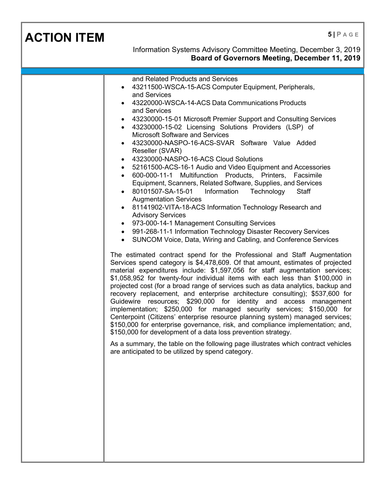| <b>ACTION ITEM</b> | $5$   P A G E<br>Information Systems Advisory Committee Meeting, December 3, 2019<br>Board of Governors Meeting, December 11, 2019                                                                                                                                                                                                                                                                                                                                                                                                                                                                                                                                                                                                                                                                                                                                                                                                                                                                                                                                                                                                                                                                                                                                                                                                                                                                                                                                                                                                                                                                                                                                                                                                                                                                                                                                                                                                                                                                                                                                                                |
|--------------------|---------------------------------------------------------------------------------------------------------------------------------------------------------------------------------------------------------------------------------------------------------------------------------------------------------------------------------------------------------------------------------------------------------------------------------------------------------------------------------------------------------------------------------------------------------------------------------------------------------------------------------------------------------------------------------------------------------------------------------------------------------------------------------------------------------------------------------------------------------------------------------------------------------------------------------------------------------------------------------------------------------------------------------------------------------------------------------------------------------------------------------------------------------------------------------------------------------------------------------------------------------------------------------------------------------------------------------------------------------------------------------------------------------------------------------------------------------------------------------------------------------------------------------------------------------------------------------------------------------------------------------------------------------------------------------------------------------------------------------------------------------------------------------------------------------------------------------------------------------------------------------------------------------------------------------------------------------------------------------------------------------------------------------------------------------------------------------------------------|
|                    | and Related Products and Services<br>43211500-WSCA-15-ACS Computer Equipment, Peripherals,<br>and Services<br>43220000-WSCA-14-ACS Data Communications Products<br>and Services<br>43230000-15-01 Microsoft Premier Support and Consulting Services<br>43230000-15-02 Licensing Solutions Providers (LSP) of<br><b>Microsoft Software and Services</b><br>43230000-NASPO-16-ACS-SVAR Software Value Added<br>Reseller (SVAR)<br>43230000-NASPO-16-ACS Cloud Solutions<br>52161500-ACS-16-1 Audio and Video Equipment and Accessories<br>600-000-11-1 Multifunction Products, Printers, Facsimile<br>Equipment, Scanners, Related Software, Supplies, and Services<br>80101507-SA-15-01<br>Information<br>Technology<br>Staff<br><b>Augmentation Services</b><br>81141902-VITA-18-ACS Information Technology Research and<br><b>Advisory Services</b><br>973-000-14-1 Management Consulting Services<br>991-268-11-1 Information Technology Disaster Recovery Services<br>$\bullet$<br>SUNCOM Voice, Data, Wiring and Cabling, and Conference Services<br>$\bullet$<br>The estimated contract spend for the Professional and Staff Augmentation<br>Services spend category is \$4,478,609. Of that amount, estimates of projected<br>material expenditures include: \$1,597,056 for staff augmentation services;<br>\$1,058,952 for twenty-four individual items with each less than \$100,000 in<br>projected cost (for a broad range of services such as data analytics, backup and<br>recovery replacement, and enterprise architecture consulting); \$537,600 for<br>Guidewire resources; \$290,000 for identity and access management<br>implementation; \$250,000 for managed security services; \$150,000 for<br>Centerpoint (Citizens' enterprise resource planning system) managed services;<br>\$150,000 for enterprise governance, risk, and compliance implementation; and,<br>\$150,000 for development of a data loss prevention strategy.<br>As a summary, the table on the following page illustrates which contract vehicles<br>are anticipated to be utilized by spend category. |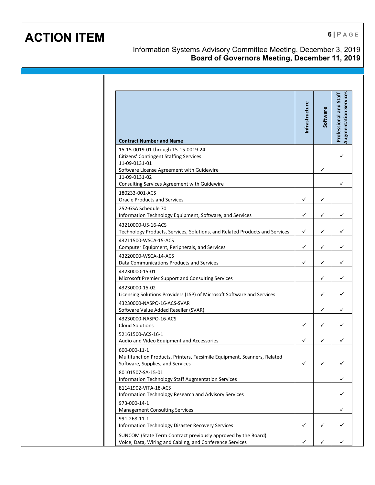# **ACTION ITEM 6 1PAGE**

### Information Systems Advisory Committee Meeting, December 3, 2019 **Board of Governors Meeting, December 11, 2019**

| <b>Contract Number and Name</b>                                                                                              | Infrastructure | Software | Professional and Staff |
|------------------------------------------------------------------------------------------------------------------------------|----------------|----------|------------------------|
| 15-15-0019-01 through 15-15-0019-24                                                                                          |                |          |                        |
| <b>Citizens' Contingent Staffing Services</b><br>11-09-0131-01                                                               |                |          | ✓                      |
| Software License Agreement with Guidewire                                                                                    |                | ✓        |                        |
| 11-09-0131-02                                                                                                                |                |          | ✓                      |
| Consulting Services Agreement with Guidewire                                                                                 |                |          |                        |
| 180233-001-ACS                                                                                                               | ✓              |          |                        |
| <b>Oracle Products and Services</b>                                                                                          |                | ✓        |                        |
| 252-GSA Schedule 70<br>Information Technology Equipment, Software, and Services                                              | ✓              | ✓        |                        |
| 43210000-US-16-ACS                                                                                                           |                |          |                        |
| Technology Products, Services, Solutions, and Related Products and Services                                                  | ✓              | ✓        |                        |
| 43211500-WSCA-15-ACS                                                                                                         |                |          |                        |
| Computer Equipment, Peripherals, and Services                                                                                | ✓              | ✓        |                        |
| 43220000-WSCA-14-ACS                                                                                                         |                |          |                        |
| Data Communications Products and Services                                                                                    | ✓              | ✓        |                        |
| 43230000-15-01                                                                                                               |                |          |                        |
| Microsoft Premier Support and Consulting Services                                                                            |                | ✓        |                        |
| 43230000-15-02                                                                                                               |                |          |                        |
| Licensing Solutions Providers (LSP) of Microsoft Software and Services                                                       |                | ✓        |                        |
| 43230000-NASPO-16-ACS-SVAR<br>Software Value Added Reseller (SVAR)                                                           |                | ✓        |                        |
| 43230000-NASPO-16-ACS                                                                                                        |                |          |                        |
| <b>Cloud Solutions</b>                                                                                                       | ✓              | ✓        |                        |
| 52161500-ACS-16-1                                                                                                            |                |          |                        |
| Audio and Video Equipment and Accessories                                                                                    | ✓              | ✓        |                        |
| 600-000-11-1<br>Multifunction Products, Printers, Facsimile Equipment, Scanners, Related<br>Software, Supplies, and Services | ✓              | ✓        |                        |
| 80101507-SA-15-01<br><b>Information Technology Staff Augmentation Services</b>                                               |                |          |                        |
| 81141902-VITA-18-ACS<br>Information Technology Research and Advisory Services                                                |                |          |                        |
| 973-000-14-1<br><b>Management Consulting Services</b>                                                                        |                |          |                        |
| 991-268-11-1<br><b>Information Technology Disaster Recovery Services</b>                                                     | ✓              | ✓        |                        |
| SUNCOM (State Term Contract previously approved by the Board)<br>Voice, Data, Wiring and Cabling, and Conference Services    | ✓              |          |                        |